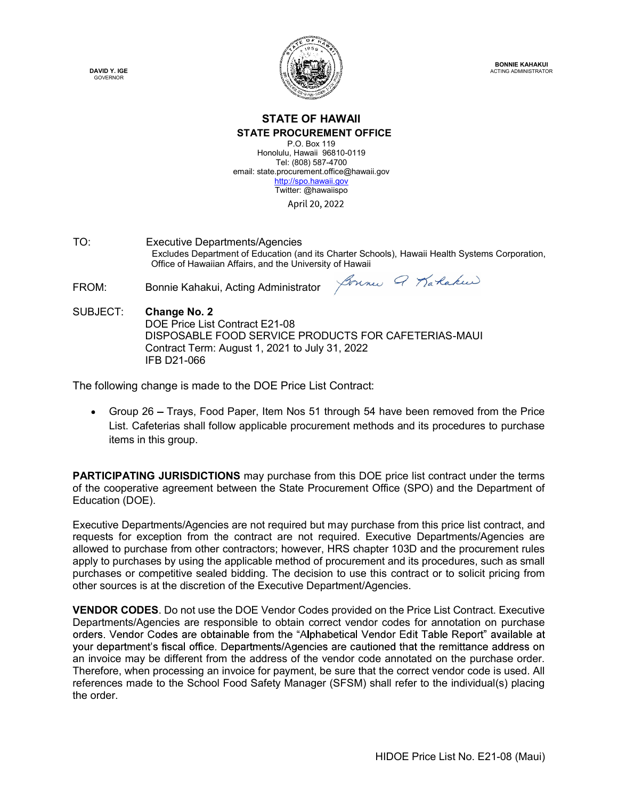DAVID Y. IGE



BONNIE KAHAKUI ACTING ADMINISTRATOR

# STATE OF HAWAII

#### STATE PROCUREMENT OFFICE

P.O. Box 119 Honolulu, Hawaii 96810-0119 Tel: (808) 587-4700 email: state.procurement.office@hawaii.gov http://spo.hawaii.gov Twitter: @hawaiispo

**EXECUTE:**<br> **TATE OF HAWAII**<br> **STATE OF HAWAII**<br> **STATE PROCUREMENT OFFICE**<br>
Honoluly Haps 19810-0119<br>
mail: state procurement office@havaii.gov<br>
email: state procurement office@havaii.gov<br>
<u>http://spo havaii.gov</u><br>  $\frac{\text{$  Excludes Department of Education (and its Charter Schools), Hawaii Health Systems Corporation, **STATE OF HAWAII**<br>
STATE OF HAWAII<br>
STATE OF HAWAII<br>
STATE OF HAWAII<br>
STATE PROCUREMENT OFFICE<br>
Honolulu, Hawaii 600, 197-4700<br>
email: state procurement office (BOB) 697-4700<br>
email: state procurement office of Hawaiiipo<br>

**EXECUTE:**<br>
FROM:<br>
FROM:<br>
STATE OF HAWAII<br>
STATE OF HAWAII<br>
STATE OF HAWAII<br>
STATE OF HAWAII<br>
STATE OF HAWAII<br>
STATE OF HAWAII<br>
Tel: (809) 0547-707<br>
email: state procurement office@havail.gov<br>
miles are around the proposi SUBJECT: Change No. 2 DOE Price List Contract E21-08 DISPOSABLE FOOD SERVICE PRODUCTS FOR CAFETERIAS-MAUI Contract Term: August 1, 2021 to July 31, 2022 IFB D21-066 **STATE PROOJIEMENT OFFICE**<br>
Honolule Hand To the 1000 particular and the Change<br>
The following change is made procedured in the *Change hand account of Equitomatic Contract*: *April 20, 2022*<br>
TO:<br>
Excludive Department of

• Group 26 – Trays, Food Paper, Item Nos 51 through 54 have been removed from the Price List. Cafeterias shall follow applicable procurement methods and its procedures to purchase items in this group.

PARTICIPATING JURISDICTIONS may purchase from this DOE price list contract under the terms of the cooperative agreement between the State Procurement Office (SPO) and the Department of Education (DOE).

Executive Departments/Agencies are not required but may purchase from this price list contract, and requests for exception from the contract are not required. Executive Departments/Agencies are allowed to purchase from other contractors; however, HRS chapter 103D and the procurement rules apply to purchases by using the applicable method of procurement and its procedures, such as small SUBJECT: Change No. 2<br>
DOE Price List Contract E21-08<br>
DISPOSABLE FOOD SERVICE PRODUCTS FOR CAFETERIAS-MAUI<br>
Contract Term: August 1, 2021 to July 31, 2022<br>
The following change is made to the DOE Price List Contract:<br>
• G other sources is at the discretion of the Executive Department/Agencies.

The same of this price list contract, and<br>the control Departments/Agencies are<br>ter 103D and the procurement rules<br>that and its procedures, such as small<br>pis contract or to solicit pricing from<br>gencies.<br>on the Price List Co VENDOR CODES. Do not use the DOE Vendor Codes provided on the Price List Contract. Executive Departments/Agencies are responsible to obtain correct vendor codes for annotation on purchase an invoice may be different from the address of the vendor code annotated on the purchase order. Therefore, when processing an invoice for payment, be sure that the correct vendor code is used. All List. Cafeterias shall follow applicable procurement methods and its procedures to purchase<br>items in this group.<br> **PARTICIPATING JURISDICTIONS** may purchase from this DOE price list contract under the terms<br>
of the coopera the order.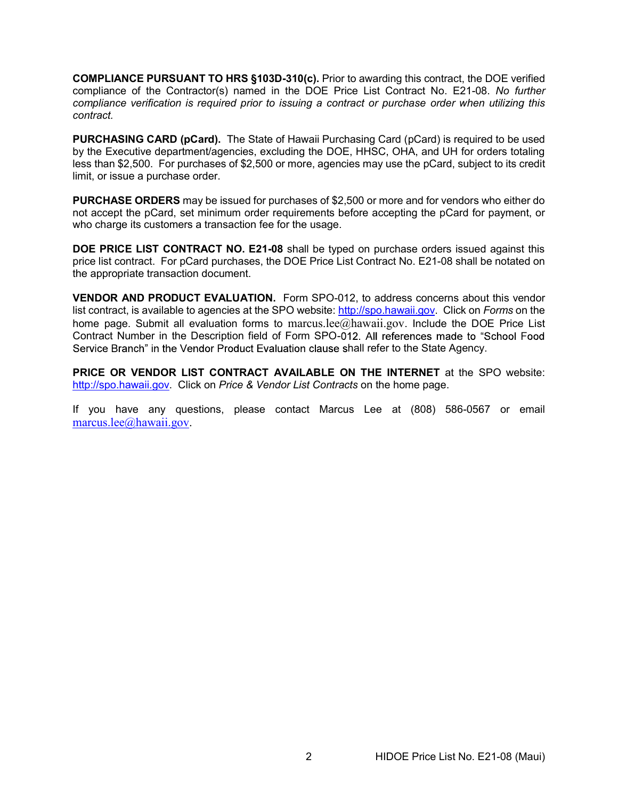COMPLIANCE PURSUANT TO HRS §103D-310(c). Prior to awarding this contract, the DOE verified compliance of the Contractor(s) named in the DOE Price List Contract No. E21-08. No further compliance verification is required prior to issuing a contract or purchase order when utilizing this contract.

PURCHASING CARD (pCard). The State of Hawaii Purchasing Card (pCard) is required to be used by the Executive department/agencies, excluding the DOE, HHSC, OHA, and UH for orders totaling less than \$2,500. For purchases of \$2,500 or more, agencies may use the pCard, subject to its credit limit, or issue a purchase order.

PURCHASE ORDERS may be issued for purchases of \$2,500 or more and for vendors who either do not accept the pCard, set minimum order requirements before accepting the pCard for payment, or who charge its customers a transaction fee for the usage.

DOE PRICE LIST CONTRACT NO. E21-08 shall be typed on purchase orders issued against this price list contract. For pCard purchases, the DOE Price List Contract No. E21-08 shall be notated on the appropriate transaction document.

VENDOR AND PRODUCT EVALUATION. Form SPO-012, to address concerns about this vendor list contract, is available to agencies at the SPO website: http://spo.hawaii.gov. Click on Forms on the home page. Submit all evaluation forms to marcus.lee@hawaii.gov. Include the DOE Price List Contract Number in the Description field of Form SPO-012. All references made to "School Food Service Branch" in the Vendor Product Evaluation clause shall refer to the State Agency.

PRICE OR VENDOR LIST CONTRACT AVAILABLE ON THE INTERNET at the SPO website: http://spo.hawaii.gov. Click on Price & Vendor List Contracts on the home page.

If you have any questions, please contact Marcus Lee at (808) 586-0567 or email marcus.lee@hawaii.gov.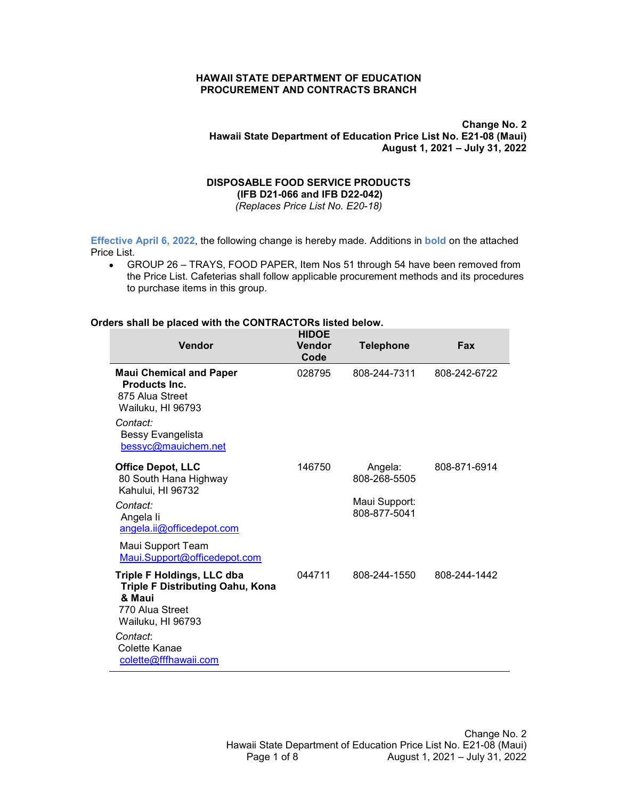HAWAII STATE DEPARTMENT OF EDUCATION<br>PROCUREMENT AND CONTRACTS BRANCH<br>Change No. 2<br>Hawaii State Department of Education Price List No. E21-08 (Maui) HAWAII STATE DEPARTMENT OF EDUCATION<br>PROCUREMENT AND CONTRACTS BRANCH<br>Hawaii State Department of Education Price List No. E21-08 (Maui)<br>August 1, 2021 – July 31, 2022 Change No. 2 Hawaii State Department of Education Price List No. E21-08 (Maui) CATION<br>RANCH<br>Change No. 2<br>Don Price List No. E21-08 (Maui)<br>August 1, 2021 – July 31, 2022<br>UCTS WAII STATE DEPARTMENT OF EDUCATION<br>
ROCUREMENT AND CONTRACTS BRANCH<br>
Change No. 2<br>
Hawaii State Department of Education Price List No. E21-08 (Maui)<br>
August 1, 2021 – July 31, 2022<br>
DISPOSABLE FOOD SERVICE PRODUCTS<br>
(IFB D STATE DEPARTMENT OF EDUCATION<br>
REMENT AND CONTRACTS BRANCH<br>
ii State Department of Education Price List No. E21-08 (Maui)<br>
August 1, 2021 – July 31, 2022<br>
SABLE FOOD SERVICE PRODUCTS<br>
(IFB D21-066 and IFB D22-042)<br>
(*Repla* 

HAWAII STATE DEPARTMENT OF EDUCATION<br>
FROCUREMENT AND CONTRACTS BRANCH<br>
Change No. 2<br>
Hawaii State Department of Education Price List No. E21-06 (Maui)<br>
August 1, 2021 – July 31, 2022<br>
ISPOSABLE FOOD SERVICE PRODUCTS<br>
(IFB HAWAII STATE DEPARTMENT OF EDUCATION<br>
PROCUREMENT AND CONTRACTS BRANCH<br>
Change No. 2<br>
Hawaii State Department of Education Price List No. E21-05 (Maul)<br>
August 1, 2021 – July 31, 2022<br>
ISPOSABLE FOOD SERVICE PRODUCTS<br>
(IFB to purchase items in this group.

|                                                                                                                                                                                                                                          |                                                                                                              |                                                          | Change No. 2<br>Hawaii State Department of Education Price List No. E21-08 (Maui) |
|------------------------------------------------------------------------------------------------------------------------------------------------------------------------------------------------------------------------------------------|--------------------------------------------------------------------------------------------------------------|----------------------------------------------------------|-----------------------------------------------------------------------------------|
|                                                                                                                                                                                                                                          | <b>DISPOSABLE FOOD SERVICE PRODUCTS</b><br>(IFB D21-066 and IFB D22-042)<br>(Replaces Price List No. E20-18) |                                                          | August 1, 2021 - July 31, 2022                                                    |
| Effective April 6, 2022, the following change is hereby made. Additions in bold on the attached                                                                                                                                          |                                                                                                              |                                                          |                                                                                   |
| Price List.<br>GROUP 26 - TRAYS, FOOD PAPER, Item Nos 51 through 54 have been removed from<br>$\bullet$<br>the Price List. Cafeterias shall follow applicable procurement methods and its procedures<br>to purchase items in this group. |                                                                                                              |                                                          |                                                                                   |
| Orders shall be placed with the CONTRACTORs listed below.                                                                                                                                                                                |                                                                                                              |                                                          |                                                                                   |
| Vendor                                                                                                                                                                                                                                   | <b>HIDOE</b><br><b>Vendor</b><br>Code                                                                        | <b>Telephone</b>                                         | Fax                                                                               |
| <b>Maui Chemical and Paper</b><br>Products Inc.<br>875 Alua Street<br>Wailuku, HI 96793<br>Contact:<br>Bessy Evangelista<br>bessyc@mauichem.net                                                                                          | 028795                                                                                                       | 808-244-7311                                             | 808-242-6722                                                                      |
| <b>Office Depot, LLC</b><br>80 South Hana Highway<br>Kahului, HI 96732<br>Contact:<br>Angela li<br>angela.ii@officedepot.com                                                                                                             | 146750                                                                                                       | Angela:<br>808-268-5505<br>Maui Support:<br>808-877-5041 | 808-871-6914                                                                      |
| Maui Support Team<br>Maui.Support@officedepot.com                                                                                                                                                                                        |                                                                                                              |                                                          |                                                                                   |
| <b>Triple F Holdings, LLC dba</b><br>Triple F Distributing Oahu, Kona<br>& Maui<br>770 Alua Street<br>Wailuku, HI 96793<br>Contact:<br>Colette Kanae<br>colette@fffhawaii.com                                                            | 044711                                                                                                       | 808-244-1550                                             | 808-244-1442                                                                      |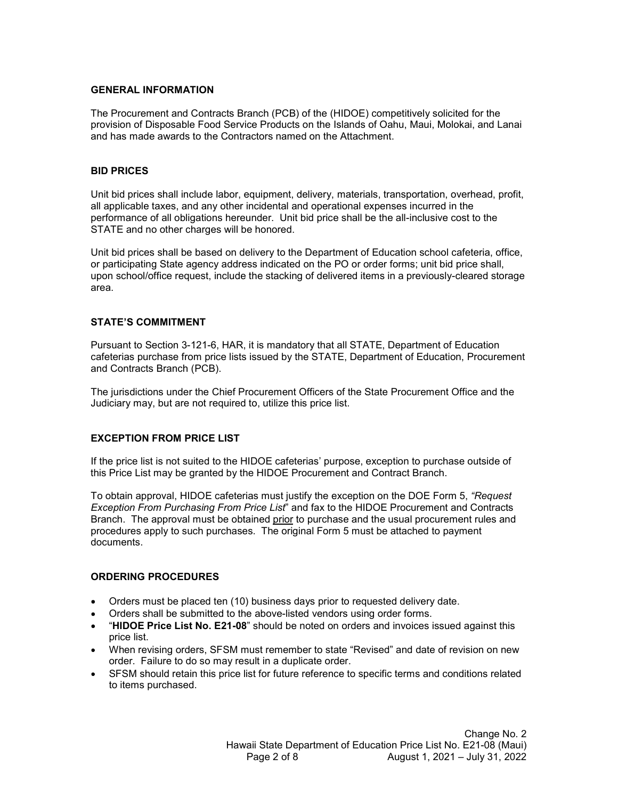#### GENERAL INFORMATION

The Procurement and Contracts Branch (PCB) of the (HIDOE) competitively solicited for the provision of Disposable Food Service Products on the Islands of Oahu, Maui, Molokai, and Lanai and has made awards to the Contractors named on the Attachment.

## BID PRICES

Unit bid prices shall include labor, equipment, delivery, materials, transportation, overhead, profit, all applicable taxes, and any other incidental and operational expenses incurred in the performance of all obligations hereunder. Unit bid price shall be the all-inclusive cost to the

**GENERAL INFORMATION**<br>The Procurement and Contracts Branch (PCB) of the (HIDOE) competitively solicited for the<br>provision of Disposable Food Service Products on the Islands of Oahu, Maui, Molokai, and Lanai<br>and has made aw GENERAL INFORMATION<br>The Procurement and Contracts Branch (PCB) of the (HIDOE) competitively solicited for the<br>provision of Disposable Food Service Products on the Islands of Oahu, Maui, Molokai, and Lanai<br>and has made awar **GENERAL INFORMATION**<br>The Procurement and Contracts Branch (PCB) of the (HIDOE) competitively solicited for the<br>provision of Disposable Food Service Products on the Islands of Oahu, Maui, Molokai, and Lanai<br>and has made aw GENERAL INFORMATION<br>The Procurement and Contracts Branch (PCB) of the (HIDOE) competitively solicited for the<br>provision of Disposable Food Service Products on the Islands of Oahu, Maui, Molokai, and Lanai<br>Unit bid prices s area. The Procurement and Contracts Branch (PCB) of the (HIDOE) competitively solicited for the<br>provision of Disposable Food Service Products on the Islands of Oahu, Maui, Molokai, and Lanai<br>and has made awards to the Contractor all applicable taxes, and any other incidental and operational expenses incurred in the<br>and incremente of all colligations herearder. Until the price shall be the all-inclustve cost to the<br>BTATE and no other changes will b

## STATE'S COMMITMENT

Pursuant to Section 3-121-6, HAR, it is mandatory that all STATE, Department of Education and Contracts Branch (PCB).

The jurisdictions under the Chief Procurement Officers of the State Procurement Office and the Judiciary may, but are not required to, utilize this price list.

# EXCEPTION FROM PRICE LIST

Felerias must justify the exception on the DOE Form 5, "Request<br>
com Price List" and fax to the HIDOE Procurement and Contracts<br>
obtained <u>prior</u> to purchase and the usual procurement rules and<br>
anses. The original Form 5 ials must justify the exception on the DOE From 5, "Request<br>Price List" and fax to the HIDOE Procurement and Contracts<br>ained <u>prior</u> to purchase and the usual procurement rules and<br>s. The original Form 5 must be attached t the price and the HIDOE careforias in the HIDOE Frocurement and Contracts method of the STATE and no other charges will be homored.<br>
Unit bid price shall be the all-inclusive cost to the DF or performance of all collidatio The Unit of the Based on delivery to the Department of Education school cafeteria, office,<br>On participating State agency address indicated on the PO or order forms; unit bid price shall,<br>upon school/office request, include Unit bid prices shall be based on delivery to the Department of Education school carfeteria, office,<br>or participating State agency address indicated on the PO or order forms; unit bid price shall,<br>oupon school/office reque or participating State agency address indicated on the PO or order forms; unit bid price shall,<br>upon school/office request, include the stacking of delivered items in a previously-cleared storage<br>area.<br>**STATE'S COMMITMENT** procedures apply to such purchases. The original Form 5 must be attached to payment documents. terias purchase from price lists issued by the 'STATE', Department of Education, Procurement<br>
Contracts Branch (PCB).<br>
Jurisdictions under the Chief Procurement Officers of the State Procurement Office and the<br>
ciary may,

### ORDERING PROCEDURES

- Orders must be placed ten (10) business days prior to requested delivery date.
- $\bullet$
- price list.
- When revising orders, SFSM must remember to state "Revised" and date of revision on new order. Failure to do so may result in a duplicate order.
- SFSM should retain this price list for future reference to specific terms and conditions related to items purchased.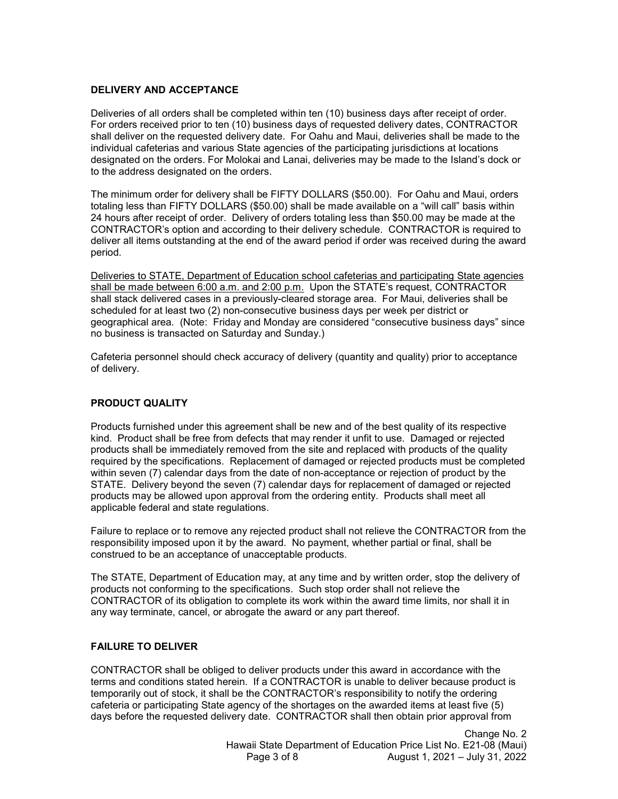### DELIVERY AND ACCEPTANCE

Deliveries of all orders shall be completed within ten (10) business days after receipt of order. For orders received prior to ten (10) business days of requested delivery dates, CONTRACTOR **DELIVERY AND ACCEPTANCE**<br>Deliveries of all orders shall be completed within ten (10) business days after receipt of order.<br>For orders received prior to ten (10) business days of requested delivery dates, CONTRACTOR<br>shall **DELIVERY AND ACCEPTANCE**<br>Deliveries of all orders shall be completed within ten (10) business days after receipt of order.<br>For orders received prior to ten (10) business days of requested delivery dates, CONTRACTOR<br>shall designated on the orders. For Molokai and Lanai, deliveries may be made to the Island's dock or to the address designated on the orders.

DELIVERY AND ACCEPTANCE<br>Deliveries of all orders shall be completed within ten (10) business days after receipt of order.<br>For orders received prior to ten (10) business days of requested delivery dates, CONTRACTOR<br>shall de totaling less than FIFTY DOLLARS (\$50.00) shall be made available on a "will call" basis within 24 hours after receipt of order. Delivery of orders totaling less than \$50.00 may be made at the DELIVERY AND ACCEPTANCE<br>
Deliveries of all orders shall be completed within ten (10) business days after receipt of order.<br>
For orders received prior to ten (10) business days of requested delivery dates, CONTRACTOR<br>
Shall deliver all items outstanding at the end of the award period if order was received during the award period. DELIVERY AND ACCEPTANCE<br>Deliveries of all orders shall be completed within ten (10) business days after receipt of order.<br>For orders recoeived prior to ten (10) business days of requested delivery dates. CONTRACTOR<br>Shall d **DELIVERY AND ACCEPTANCE**<br>Deliveries of all orders shall be completed within ten (10) business days after receipt of order.<br>For orders received prior to ten (10) business days of requested delivery dates, CONTRACTOR<br>Shall **DELIVERY AND ACCEPTANCE**<br>Deliveries of all orders shall be completed within ten (10) business days after receipt of order.<br>For orders received prior to ten (10) business days of requested delivery dates. CONTRACTOR<br>For or

shall stack delivered cases in a previously-cleared storage area. For Maui, deliveries shall be scheduled for at least two (2) non-consecutive business days per week per district or geographical area. (Note: Friday and Monday are considered "consecutive business days" since no business is transacted on Saturday and Sunday.)

Cafeteria personnel should check accuracy of delivery (quantity and quality) prior to acceptance of delivery.

# PRODUCT QUALITY

The minimum order for delivery shall be FIFTY DOLLARS (\$50.00). For Oahu and Maui, orders<br>The minimum order for delivery shall be FIFTY DOLLARS (\$50.00). For Oahu and Maui, orders<br>to this calculary less than FIFTY DOLLARS kind. Product shall be free from defects that may render it unfit to use. Damaged or rejected The minimum order for delivery shall be FIFTY DOLLARS (\$50.00). For Oahu and Maui, orders<br>totaling less than FIFTY DOLLARS (\$60.00) shall be made available on a "will call" basis within<br>24 hours after necelly of order. Del totaling less than FIFTY DOULARS (\$50.00) shall be made available on a "will call" basis within 24 hours after receipt of order. Delivery of orders to falling sless than 150.00 may be made at the CONTRACTOR's option and ac within seven (7) calendar days from the date of non-acceptance or rejection of product by the STATE. Delivery beyond the seven (7) calendar days for replacement of damaged or rejected products may be allowed upon approval from the ordering entity. Products shall meet all applicable federal and state regulations. Deliveries to STATE. Department of Education school cafeterias and participating State agencies<br>the that the made between 6:00 a.m. and 2:00 a.m. dupon the STATE's request, CONTRACTOR<br>scheduled for a least wor (2) non-cons geographical area. (Note: Friday and Monday are considered "consecutive business days" since<br>geographical area. (Note: Friday and Monday are considered "consecutive business days" since<br>carefering personnel should check ac products not conforming to the seedfractions. Such stop order shall not relieve the specifications of delivery.<br>
Cafeteria personnel should check accuracy of delivery (quantity and quality) prior to acceptance<br>
of delivery Cafeteria personnel should check accuracy of delivery (quantity and quality) prior to acceptance<br>of delivery.<br>PRODUCT QUALITY<br>Products furnished under this agreement shall be new and of the best quality of its respective<br>P Products furnished under this agreement shall be new and of the best quality of its respective<br>kind. Product shall be free from defects that may render it unfil to use. Damaged or rejected<br>products shall be immediately rem Products furnished under this agreement shall be new and of the best quality of its respective<br>kind. Products shall be firem fielders that may render it unfit to use. Damaged or rejected<br>products shall be immediately remov required by the specifications. Replacement of damaged or rejected products must be completed<br>within seven (7) calendar days for melasted promacceptatines or rejected of product by the<br>STATE. Delivery beyond the seven (7)

responsibility imposed upon it by the award. No payment, whether partial or final, shall be construed to be an acceptance of unacceptable products.

any way terminate, cancel, or abrogate the award or any part thereof.

#### FAILURE TO DELIVER

even (7) calendar days for replacement of damaged or rejected<br>approval from the ordering entity. Products shall meet all<br>gulations.<br>any rejected product shall not relieve the CONTRACTOR from the<br>by the award. No payment, w ions.<br>
Iron the ordering entity. Products shall meet all<br>
ions.<br>
Tejected product shall not relieve the CONTRACTOR from the<br>
e award. No payment, whether partial or final, shall be<br>
inacceptable products.<br>
Ion may, at any temporarily out of stock, it shall be the CONTRACTOR's responsibility to notify the ordering cafeteria or participating State agency of the shortages on the awarded items at least five (5)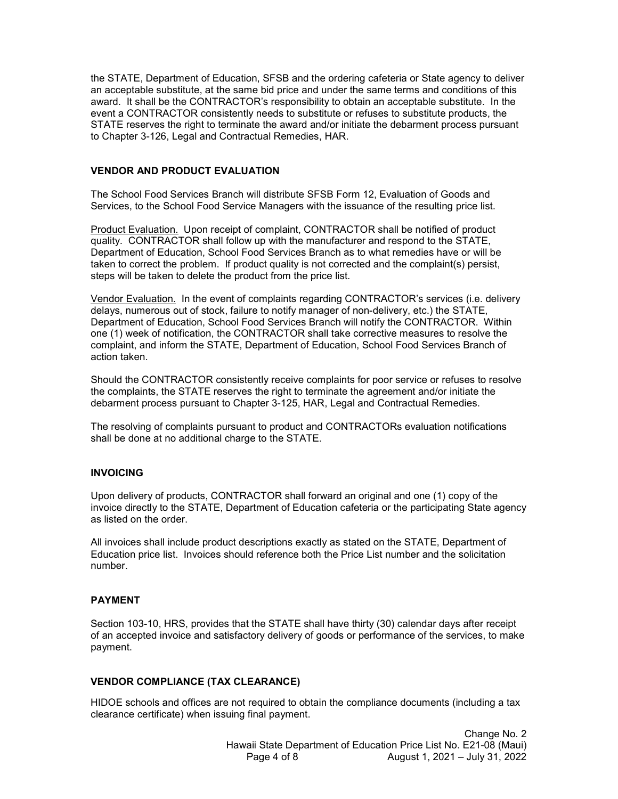the STATE, Department of Education, SFSB and the ordering cafeteria or State agency to deliver an acceptable substitute, at the same bid price and under the same terms and conditions of this award. It shall be the CONTRACTOR's responsibility to obtain an acceptable substitute. In the the STATE, Department of Education, SFSB and the ordering cafeteria or State agency to deliver<br>an acceptable substitute, at the same bid price and under the same terms and conditions of this<br>award. It shall be the CONTRACT STATE reserves the right to terminate the award and/or initiate the debarment process pursuant to Chapter 3-126, Legal and Contractual Remedies, HAR. the STATE, Department of Education, SFSB and the ordering cafeteria or State agency to deliver<br>an acceptable substitute, at the same bid price and under the same terms and conditions of this<br>award. It shall be the CONTRACT the STATE, Department of Education, SFSB and the ordering cafeteria or State agency to deliver<br>an acceptable substitute, at the same bid price and under the same terms and conditions of this<br>award. It shall be the CONTRACT the STATE, Department of Education, SFSB and the ordering cafeteria or State agency to deliver<br>an acceptable substitute, at the same bid price and under the same terms and conditions of this<br>event. It shall be the CONTRACT the STATE, Department of Education, SFSB and the ordering cafeteria or State agency to deliver<br>an acceptable substitute, at the same bid price and under the same terms and conditions of this<br>event. It stall be the CONTRACT the STATE, Department of Education, SFSB and the ordering cafeteria or State agency to deliver an acceptable substitute, at the same bid price and under the same terms and conditions of this award. It shall be the CONTRACT the STATE, Department of Education, SFSB and the ordering cafeteria or State agency to deliver<br>an acceptable substitute, at the same bid price and under the same terms and conditions of this<br>eavard. It shall be the CONTRAC

## VENDOR AND PRODUCT EVALUATION

The School Food Services Branch will distribute SFSB Form 12, Evaluation of Goods and<br>Services, to the School Food Service Managers with the issuance of the resulting price list.

Department of Education, School Food Services Branch as to what remedies have or will be taken to correct the problem. If product quality is not corrected and the complaint(s) persist, steps will be taken to delete the product from the price list.

Department of Education, School Food Services Branch will notify the CONTRACTOR. Within complaint, and inform the STATE, Department of Education, School Food Services Branch of action taken. STATE reserves the right to terminate the award and/or initiate the debarment process pursuant<br>to Chapter 3-126, Legal and Contractual Remedies, HAR.<br>VENDOR AND PRODUCT EVALUATION<br>The School Food Services Branch will distr to Chapter 3-126, Legal and Contractual Remedees, HAR.<br>
WENDOR AND PRODUCT EVALUATION<br>
The School Food Services Branch will distribute SFSB Form 12, Evaluation of Goods and<br>
Services, to the School Food Services Branch wil **quality. CONTRACTOR** shall follow up with the manufacturer and respond to the STATE.<br>Department of Education, School Food Services Branch as to what remedies have or will be<br>diaten to correct the problem. If product quali Department of Education, School Food Services Branch as to what remedies have or will be particle and to correct the problem. If product quality is not corrected and the complaint(s) persist, taken to correct the problem.

debarment process pursuant to Chapter 3-125, HAR, Legal and Contractual Remedies.

The resolving of complaints pursuant to product and CONTRACTORs evaluation notifications shall be done at no additional charge to the STATE.

#### INVOICING

NTRACTOR shall forward an original and one (1) copy of the<br>Department of Education cafeteria or the participating State agency<br>tot descriptions exactly as stated on the STATE, Department of<br>bhould reference both the Price as listed on the order. scholar the CONTRACTOR consistently receive complaints for poor service or refuses to resolve the complaints, the STATE reserves the right to terminate the agreement and/or initiate the debarment process pursuant to Chapte **INVOICING**<br>
Upon delivery of products, CONTRACTOR shall forward an original and one (1) copy of the<br>
unvoice directly to the STATE, Department of Education cafeteria or the participating State agency<br>
as listed on the ord

All invoices shall include product descriptions exactly as stated on the STATE, Department of Education price list. Invoices should reference both the Price List number and the solicitation number.

# PAYMENT

ACTOR shall forward an original and one (1) copy of the<br>artment of Education cafeteria or the participating State agency<br>secriptions exactly as stated on the STATE, Department of<br>d reference both the Price List number and of an accepted invoice and satisfactory delivery of goods or performance of the services, to make payment.

# VENDOR COMPLIANCE (TAX CLEARANCE)

HIDOE schools and offices are not required to obtain the compliance documents (including a tax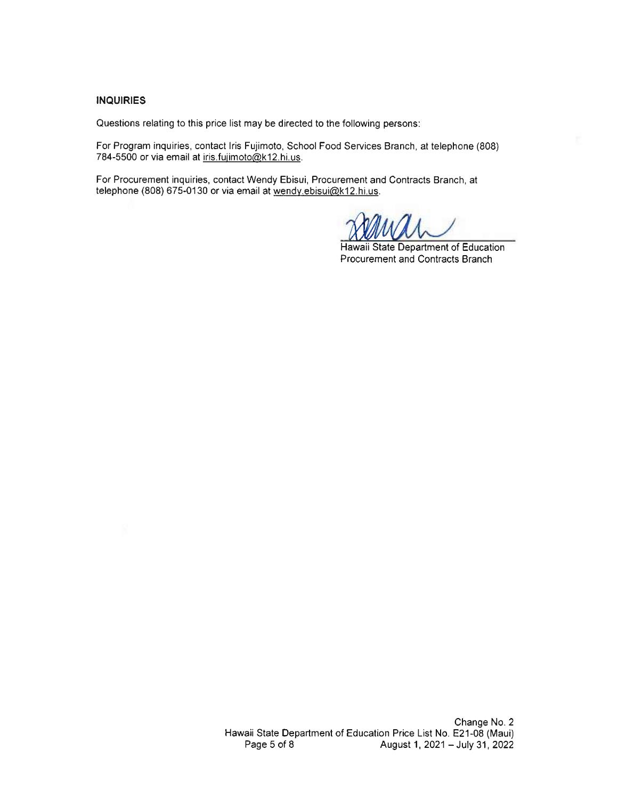#### **INQUIRIES**

Questions relating to this price list may be directed to the following persons:

For Program inquiries, contact Iris Fujimoto, School Food Services Branch, at telephone (808) 784-5500 or via email at iris.fujimoto@k12.hi.us.

For Procurement inquiries, contact Wendy Ebisui, Procurement and Contracts Branch, at telephone (808) 675-0130 or via email at wendy ebisui@k12.hi.us.

Hawaii State Department of Education Procurement and Contracts Branch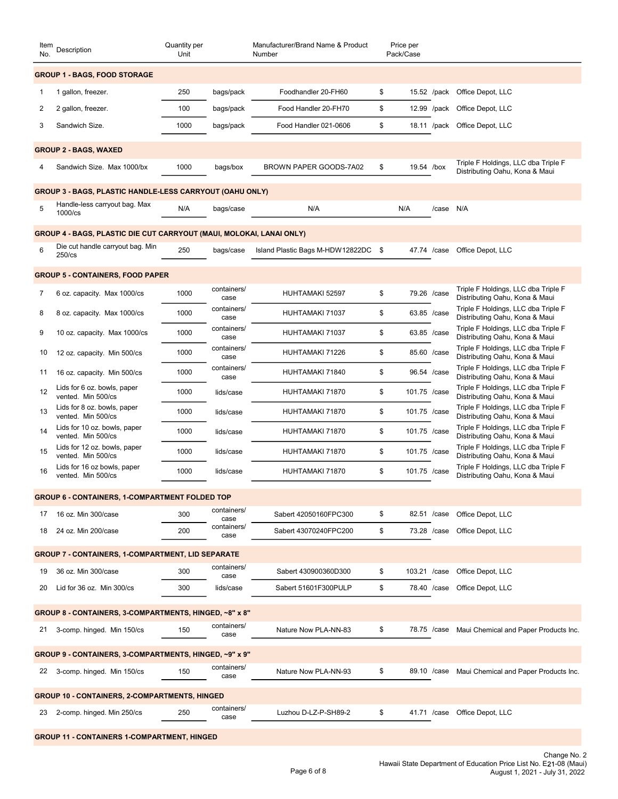| Item<br>No. | Description                                                          | Quantity per<br>Unit |                     | Manufacturer/Brand Name & Product<br>Number |     | Price per<br>Pack/Case |                                                                                                                     |
|-------------|----------------------------------------------------------------------|----------------------|---------------------|---------------------------------------------|-----|------------------------|---------------------------------------------------------------------------------------------------------------------|
|             | <b>GROUP 1 - BAGS, FOOD STORAGE</b>                                  |                      |                     |                                             |     |                        |                                                                                                                     |
| 1           | 1 gallon, freezer.                                                   | 250                  | bags/pack           | Foodhandler 20-FH60                         | \$  |                        | 15.52 /pack Office Depot, LLC                                                                                       |
| 2           | 2 gallon, freezer.                                                   | 100                  | bags/pack           | Food Handler 20-FH70                        | \$  |                        | 12.99 /pack Office Depot, LLC                                                                                       |
| 3           | Sandwich Size.                                                       | 1000                 | bags/pack           | Food Handler 021-0606                       | \$  |                        | 18.11 /pack Office Depot, LLC                                                                                       |
|             |                                                                      |                      |                     |                                             |     |                        |                                                                                                                     |
|             | <b>GROUP 2 - BAGS, WAXED</b>                                         |                      |                     |                                             |     |                        | Triple F Holdings, LLC dba Triple F                                                                                 |
| 4           | Sandwich Size. Max 1000/bx                                           | 1000                 | bags/box            | BROWN PAPER GOODS-7A02                      | -\$ | 19.54 /box             | Distributing Oahu, Kona & Maui                                                                                      |
|             | <b>GROUP 3 - BAGS, PLASTIC HANDLE-LESS CARRYOUT (OAHU ONLY)</b>      |                      |                     |                                             |     |                        |                                                                                                                     |
| 5           | Handle-less carryout bag. Max<br>1000/cs                             | N/A                  | bags/case           | N/A                                         |     | /case N/A<br>N/A       |                                                                                                                     |
|             | GROUP 4 - BAGS, PLASTIC DIE CUT CARRYOUT (MAUI, MOLOKAI, LANAI ONLY) |                      |                     |                                             |     |                        |                                                                                                                     |
| 6           | Die cut handle carryout bag. Min<br>$250$ /cs                        | 250                  | bags/case           | Island Plastic Bags M-HDW12822DC \$         |     |                        | 47.74 /case Office Depot, LLC                                                                                       |
|             | <b>GROUP 5 - CONTAINERS, FOOD PAPER</b>                              |                      |                     |                                             |     |                        |                                                                                                                     |
| 7           | 6 oz. capacity. Max 1000/cs                                          | 1000                 | containers/         | HUHTAMAKI 52597                             | \$  | 79.26 /case            | Triple F Holdings, LLC dba Triple F                                                                                 |
| 8           | 8 oz. capacity. Max 1000/cs                                          | 1000                 | case<br>containers/ | HUHTAMAKI 71037                             | \$  | 63.85 /case            | Distributing Oahu, Kona & Maui<br>Triple F Holdings, LLC dba Triple F                                               |
|             |                                                                      |                      | case<br>containers/ |                                             |     |                        | Distributing Oahu, Kona & Maui<br>Triple F Holdings, LLC dba Triple F                                               |
| 9           | 10 oz. capacity. Max 1000/cs                                         | 1000                 | case<br>containers/ | HUHTAMAKI 71037                             | \$  | 63.85 /case            | Distributing Oahu, Kona & Maui<br>Triple F Holdings, LLC dba Triple F                                               |
| 10          | 12 oz. capacity. Min 500/cs                                          | 1000                 | case                | HUHTAMAKI 71226                             | \$  | 85.60 /case            | Distributing Oahu, Kona & Maui<br>Triple F Holdings, LLC dba Triple F                                               |
|             | 11 16 oz. capacity. Min 500/cs                                       | 1000                 | containers/<br>case | HUHTAMAKI 71840                             | \$  | 96.54 /case            | Distributing Oahu, Kona & Maui                                                                                      |
| 12          | Lids for 6 oz. bowls, paper<br>vented. Min 500/cs                    | 1000                 | lids/case           | HUHTAMAKI 71870                             | \$  | 101.75 /case           | Triple F Holdings, LLC dba Triple F<br>Distributing Oahu, Kona & Maui                                               |
| 13          | Lids for 8 oz. bowls, paper<br>vented. Min 500/cs                    | 1000                 | lids/case           | HUHTAMAKI 71870                             | \$  | 101.75 /case           | Triple F Holdings, LLC dba Triple F<br>Distributing Oahu, Kona & Maui                                               |
| 14          | Lids for 10 oz. bowls, paper<br>vented. Min 500/cs                   | 1000                 | lids/case           | HUHTAMAKI 71870                             | \$  | 101.75 /case           | Triple F Holdings, LLC dba Triple F<br>Distributing Oahu, Kona & Maui                                               |
| 15          | Lids for 12 oz. bowls, paper<br>vented. Min 500/cs                   | 1000                 | lids/case           | HUHTAMAKI 71870                             | \$  | 101.75 /case           | Triple F Holdings, LLC dba Triple F<br>Distributing Oahu, Kona & Maui                                               |
| 16          | Lids for 16 oz bowls, paper<br>vented. Min 500/cs                    | 1000                 | lids/case           | HUHTAMAKI 71870                             | \$  | 101.75 /case           | Triple F Holdings, LLC dba Triple F<br>Distributing Oahu, Kona & Maui                                               |
|             |                                                                      |                      |                     |                                             |     |                        |                                                                                                                     |
|             | <b>GROUP 6 - CONTAINERS, 1-COMPARTMENT FOLDED TOP</b>                |                      | containers/         |                                             |     |                        |                                                                                                                     |
|             | 17 16 oz. Min 300/case                                               | 300                  | case<br>containers/ | Sabert 42050160FPC300                       | \$  | 82.51 /case            | Office Depot, LLC                                                                                                   |
|             | 18 24 oz. Min 200/case                                               | 200                  | case                | Sabert 43070240FPC200                       | \$  |                        | 73.28 /case Office Depot, LLC                                                                                       |
|             | <b>GROUP 7 - CONTAINERS, 1-COMPARTMENT, LID SEPARATE</b>             |                      |                     |                                             |     |                        |                                                                                                                     |
|             | 19 36 oz. Min 300/case                                               | 300                  | containers/<br>case | Sabert 430900360D300                        | \$  | 103.21 /case           | Office Depot, LLC                                                                                                   |
|             | 20 Lid for 36 oz. Min 300/cs                                         | 300                  | lids/case           | Sabert 51601F300PULP                        | \$  |                        | 78.40 /case Office Depot, LLC                                                                                       |
|             | GROUP 8 - CONTAINERS, 3-COMPARTMENTS, HINGED, ~8" x 8"               |                      |                     |                                             |     |                        |                                                                                                                     |
|             | 21 3-comp. hinged. Min 150/cs                                        | 150                  | containers/<br>case | Nature Now PLA-NN-83                        | \$  |                        | 78.75 /case Maui Chemical and Paper Products Inc.                                                                   |
|             | GROUP 9 - CONTAINERS, 3-COMPARTMENTS, HINGED, ~9" x 9"               |                      |                     |                                             |     |                        |                                                                                                                     |
|             | 22 3-comp. hinged. Min 150/cs                                        | 150                  | containers/         | Nature Now PLA-NN-93                        | \$  |                        | 89.10 /case Maui Chemical and Paper Products Inc.                                                                   |
|             |                                                                      |                      | case                |                                             |     |                        |                                                                                                                     |
|             | <b>GROUP 10 - CONTAINERS, 2-COMPARTMENTS, HINGED</b>                 |                      | containers/         |                                             |     |                        |                                                                                                                     |
|             | 23 2-comp. hinged. Min 250/cs                                        | 250                  | case                | Luzhou D-LZ-P-SH89-2                        | \$  |                        | 41.71 /case Office Depot, LLC                                                                                       |
|             | <b>GROUP 11 - CONTAINERS 1-COMPARTMENT, HINGED</b>                   |                      |                     |                                             |     |                        |                                                                                                                     |
|             |                                                                      |                      |                     | Page 6 of 8                                 |     |                        | Change No. 2<br>Hawaii State Department of Education Price List No. E21-08 (Maui)<br>August 1, 2021 - July 31, 2022 |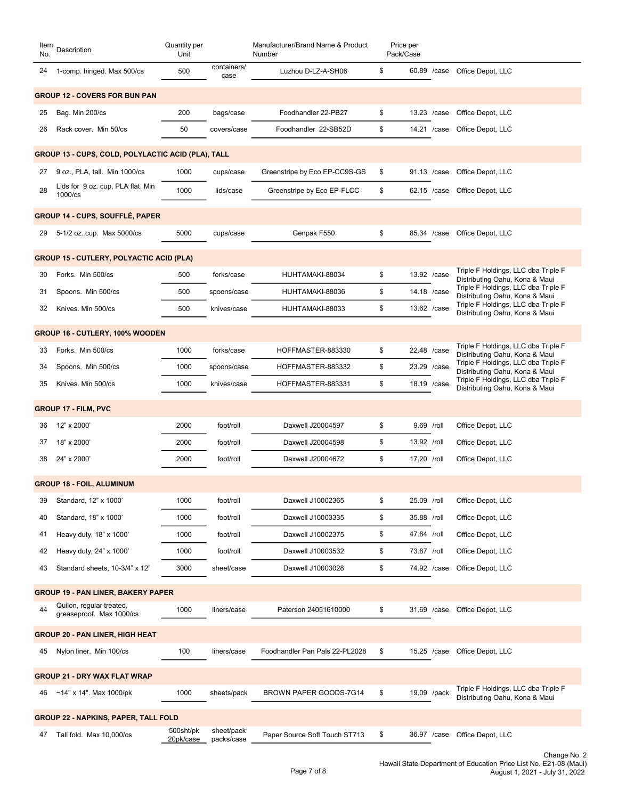| No. | Item Description                                     | Quantity per<br>Unit |                     | Manufacturer/Brand Name & Product<br>Number | Price per<br>Pack/Case |                                                                                                                     |
|-----|------------------------------------------------------|----------------------|---------------------|---------------------------------------------|------------------------|---------------------------------------------------------------------------------------------------------------------|
|     | 24 1-comp. hinged. Max 500/cs                        | 500                  | containers/<br>case | Luzhou D-LZ-A-SH06                          | \$                     | 60.89 /case Office Depot, LLC                                                                                       |
|     | <b>GROUP 12 - COVERS FOR BUN PAN</b>                 |                      |                     |                                             |                        |                                                                                                                     |
| 25  | Bag. Min 200/cs                                      | 200                  | bags/case           | Foodhandler 22-PB27                         | \$                     | 13.23 /case Office Depot, LLC                                                                                       |
| 26  | Rack cover. Min 50/cs                                | 50                   | covers/case         | Foodhandler 22-SB52D                        | \$                     | 14.21 /case Office Depot, LLC                                                                                       |
|     | GROUP 13 - CUPS, COLD, POLYLACTIC ACID (PLA), TALL   |                      |                     |                                             |                        |                                                                                                                     |
|     | 27 9 oz., PLA, tall. Min 1000/cs                     | 1000                 | cups/case           | Greenstripe by Eco EP-CC9S-GS               | \$                     | 91.13 /case Office Depot, LLC                                                                                       |
| 28  | Lids for 9 oz. cup, PLA flat. Min                    | 1000                 | lids/case           | Greenstripe by Eco EP-FLCC                  | \$                     | 62.15 /case Office Depot, LLC                                                                                       |
|     | 1000/cs                                              |                      |                     |                                             |                        |                                                                                                                     |
|     | <b>GROUP 14 - CUPS, SOUFFLÉ, PAPER</b>               |                      |                     |                                             |                        |                                                                                                                     |
|     | 29 5-1/2 oz. cup. Max 5000/cs                        | 5000                 | cups/case           | Genpak F550                                 | \$                     | 85.34 /case Office Depot, LLC                                                                                       |
|     | <b>GROUP 15 - CUTLERY, POLYACTIC ACID (PLA)</b>      |                      |                     |                                             |                        |                                                                                                                     |
|     | 30 Forks. Min 500/cs                                 | 500                  | forks/case          | HUHTAMAKI-88034                             | \$<br>13.92 /case      | Triple F Holdings, LLC dba Triple F<br>Distributing Oahu, Kona & Maui                                               |
| 31  | Spoons. Min 500/cs                                   | 500                  | spoons/case         | HUHTAMAKI-88036                             | \$<br>14.18 /case      | Triple F Holdings, LLC dba Triple F<br>Distributing Oahu, Kona & Maui                                               |
|     | 32 Knives. Min 500/cs                                | 500                  | knives/case         | HUHTAMAKI-88033                             | \$<br>13.62 /case      | Triple F Holdings, LLC dba Triple F<br>Distributing Oahu, Kona & Maui                                               |
|     | GROUP 16 - CUTLERY, 100% WOODEN                      |                      |                     |                                             |                        |                                                                                                                     |
|     | 33 Forks. Min 500/cs                                 | 1000                 | forks/case          | HOFFMASTER-883330                           | \$<br>22.48 /case      | Triple F Holdings, LLC dba Triple F<br>Distributing Oahu, Kona & Maui                                               |
| 34  | Spoons. Min 500/cs                                   | 1000                 | spoons/case         | HOFFMASTER-883332                           | \$<br>23.29 /case      | Triple F Holdings, LLC dba Triple F<br>Distributing Oahu, Kona & Maui                                               |
|     | 35 Knives. Min 500/cs                                | 1000                 | knives/case         | HOFFMASTER-883331                           | \$<br>18.19 /case      | Triple F Holdings, LLC dba Triple F<br>Distributing Oahu, Kona & Maui                                               |
|     | <b>GROUP 17 - FILM, PVC</b>                          |                      |                     |                                             |                        |                                                                                                                     |
|     | 36 12" x 2000'                                       | 2000                 | foot/roll           | Daxwell J20004597                           | \$<br>9.69 /roll       | Office Depot, LLC                                                                                                   |
|     | 37 18" x 2000'                                       | 2000                 | foot/roll           | Daxwell J20004598                           | \$<br>13.92 /roll      | Office Depot, LLC                                                                                                   |
|     | 38 24" x 2000'                                       | 2000                 | foot/roll           | Daxwell J20004672                           | \$<br>17.20 /roll      | Office Depot, LLC                                                                                                   |
|     | <b>GROUP 18 - FOIL, ALUMINUM</b>                     |                      |                     |                                             |                        |                                                                                                                     |
| 39  | Standard, 12" x 1000'                                | 1000                 | foot/roll           | Daxwell J10002365                           | \$<br>25.09 /roll      | Office Depot, LLC                                                                                                   |
|     | 40 Standard, 18" x 1000'                             | 1000                 | foot/roll           | Daxwell J10003335                           | \$<br>35.88 /roll      | Office Depot, LLC                                                                                                   |
|     | 41 Heavy duty, 18" x 1000'                           | 1000                 | foot/roll           | Daxwell J10002375                           | \$<br>47.84 /roll      | Office Depot, LLC                                                                                                   |
|     | 42 Heavy duty, 24" x 1000'                           | 1000                 | foot/roll           | Daxwell J10003532                           | \$<br>73.87 /roll      | Office Depot, LLC                                                                                                   |
|     | 43 Standard sheets, 10-3/4" x 12"                    | 3000                 | sheet/case          | Daxwell J10003028                           | \$                     | 74.92 /case Office Depot, LLC                                                                                       |
|     | <b>GROUP 19 - PAN LINER, BAKERY PAPER</b>            |                      |                     |                                             |                        |                                                                                                                     |
| 44  | Quilon, regular treated,<br>greaseproof. Max 1000/cs | 1000                 | liners/case         | Paterson 24051610000                        | \$                     | 31.69 /case Office Depot, LLC                                                                                       |
|     | <b>GROUP 20 - PAN LINER, HIGH HEAT</b>               |                      |                     |                                             |                        |                                                                                                                     |
|     | 45 Nylon liner. Min 100/cs                           | 100                  | liners/case         | Foodhandler Pan Pals 22-PL2028              | \$                     | 15.25 /case Office Depot, LLC                                                                                       |
|     | <b>GROUP 21 - DRY WAX FLAT WRAP</b>                  |                      |                     |                                             |                        |                                                                                                                     |
|     | 46 ~14" x 14". Max 1000/pk                           | 1000                 | sheets/pack         | BROWN PAPER GOODS-7G14                      | \$<br>19.09 /pack      | Triple F Holdings, LLC dba Triple F<br>Distributing Oahu, Kona & Maui                                               |
|     |                                                      |                      |                     |                                             |                        |                                                                                                                     |
|     | <b>GROUP 22 - NAPKINS, PAPER, TALL FOLD</b>          | 500sht/pk            | sheet/pack          |                                             |                        |                                                                                                                     |
|     | 47 Tall fold. Max 10,000/cs                          | 20pk/case            | packs/case          | Paper Source Soft Touch ST713               | \$                     | 36.97 /case Office Depot, LLC                                                                                       |
|     |                                                      |                      |                     | Page 7 of 8                                 |                        | Change No. 2<br>Hawaii State Department of Education Price List No. E21-08 (Maui)<br>August 1, 2021 - July 31, 2022 |